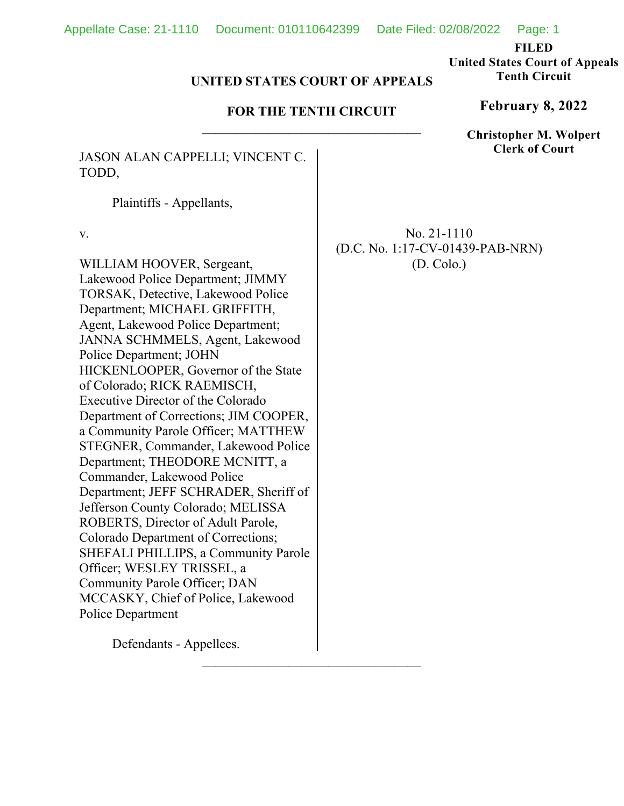**FILED** 

**United States Court of Appeals Tenth Circuit** 

### **UNITED STATES COURT OF APPEALS**

## **FOR THE TENTH CIRCUIT**

JASON ALAN CAPPELLI; VINCENT C. TODD,

Plaintiffs - Appellants,

v.

WILLIAM HOOVER, Sergeant, Lakewood Police Department; JIMMY TORSAK, Detective, Lakewood Police Department; MICHAEL GRIFFITH, Agent, Lakewood Police Department; JANNA SCHMMELS, Agent, Lakewood Police Department; JOHN HICKENLOOPER, Governor of the State of Colorado; RICK RAEMISCH, Executive Director of the Colorado Department of Corrections; JIM COOPER, a Community Parole Officer; MATTHEW STEGNER, Commander, Lakewood Police Department; THEODORE MCNITT, a Commander, Lakewood Police Department; JEFF SCHRADER, Sheriff of Jefferson County Colorado; MELISSA ROBERTS, Director of Adult Parole, Colorado Department of Corrections; SHEFALI PHILLIPS, a Community Parole Officer; WESLEY TRISSEL, a Community Parole Officer; DAN MCCASKY, Chief of Police, Lakewood Police Department

Defendants - Appellees.

No. 21-1110 (D.C. No. 1:17-CV-01439-PAB-NRN) (D. Colo.)

**February 8, 2022**

**Christopher M. Wolpert Clerk of Court**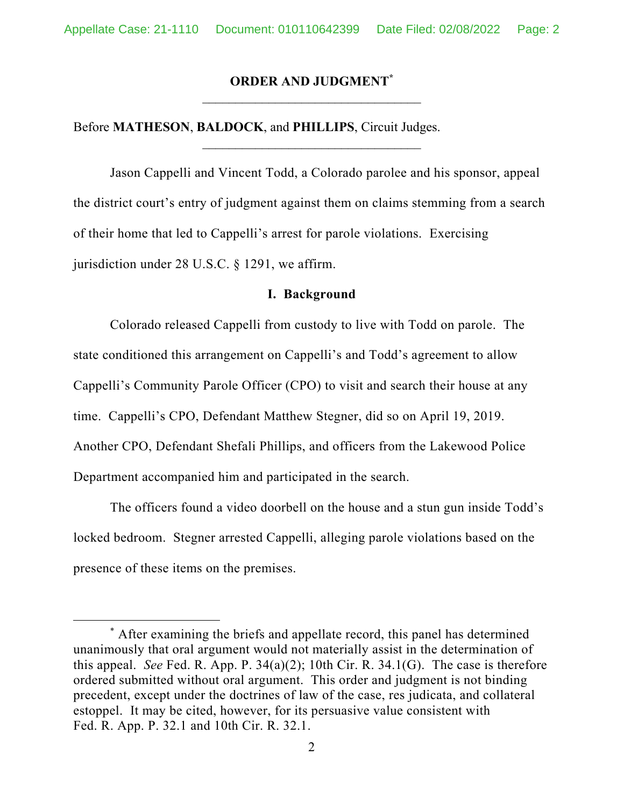### **ORDER AND JUDGMENT\***

Before **MATHESON**, **BALDOCK**, and **PHILLIPS**, Circuit Judges.

Jason Cappelli and Vincent Todd, a Colorado parolee and his sponsor, appeal the district court's entry of judgment against them on claims stemming from a search of their home that led to Cappelli's arrest for parole violations. Exercising jurisdiction under 28 U.S.C. § 1291, we affirm.

### **I. Background**

 Colorado released Cappelli from custody to live with Todd on parole. The state conditioned this arrangement on Cappelli's and Todd's agreement to allow Cappelli's Community Parole Officer (CPO) to visit and search their house at any time. Cappelli's CPO, Defendant Matthew Stegner, did so on April 19, 2019. Another CPO, Defendant Shefali Phillips, and officers from the Lakewood Police Department accompanied him and participated in the search.

 The officers found a video doorbell on the house and a stun gun inside Todd's locked bedroom. Stegner arrested Cappelli, alleging parole violations based on the presence of these items on the premises.

<sup>\*</sup> After examining the briefs and appellate record, this panel has determined unanimously that oral argument would not materially assist in the determination of this appeal. *See* Fed. R. App. P. 34(a)(2); 10th Cir. R. 34.1(G). The case is therefore ordered submitted without oral argument. This order and judgment is not binding precedent, except under the doctrines of law of the case, res judicata, and collateral estoppel. It may be cited, however, for its persuasive value consistent with Fed. R. App. P. 32.1 and 10th Cir. R. 32.1.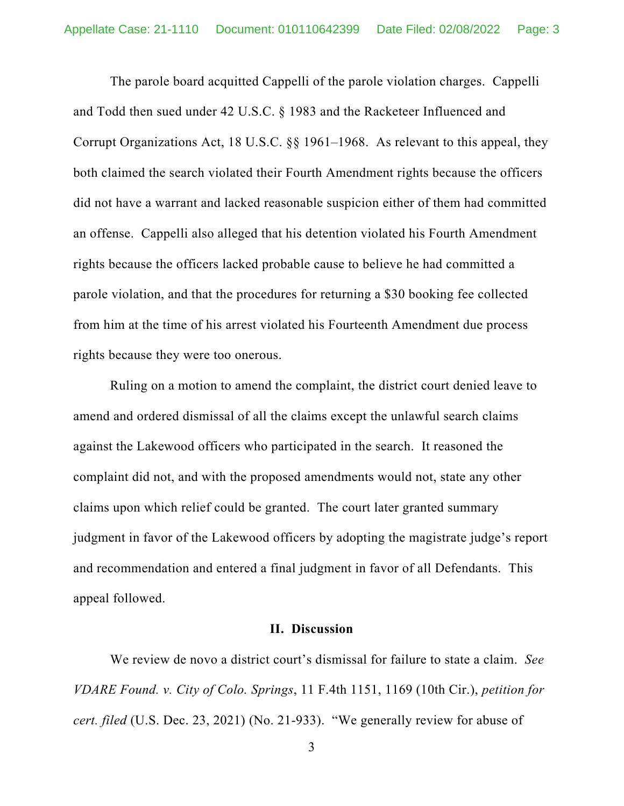The parole board acquitted Cappelli of the parole violation charges. Cappelli and Todd then sued under 42 U.S.C. § 1983 and the Racketeer Influenced and Corrupt Organizations Act, 18 U.S.C. §§ 1961–1968. As relevant to this appeal, they both claimed the search violated their Fourth Amendment rights because the officers did not have a warrant and lacked reasonable suspicion either of them had committed an offense. Cappelli also alleged that his detention violated his Fourth Amendment rights because the officers lacked probable cause to believe he had committed a parole violation, and that the procedures for returning a \$30 booking fee collected from him at the time of his arrest violated his Fourteenth Amendment due process rights because they were too onerous.

 Ruling on a motion to amend the complaint, the district court denied leave to amend and ordered dismissal of all the claims except the unlawful search claims against the Lakewood officers who participated in the search. It reasoned the complaint did not, and with the proposed amendments would not, state any other claims upon which relief could be granted. The court later granted summary judgment in favor of the Lakewood officers by adopting the magistrate judge's report and recommendation and entered a final judgment in favor of all Defendants. This appeal followed.

### **II. Discussion**

We review de novo a district court's dismissal for failure to state a claim. *See VDARE Found. v. City of Colo. Springs*, 11 F.4th 1151, 1169 (10th Cir.), *petition for cert. filed* (U.S. Dec. 23, 2021) (No. 21-933). "We generally review for abuse of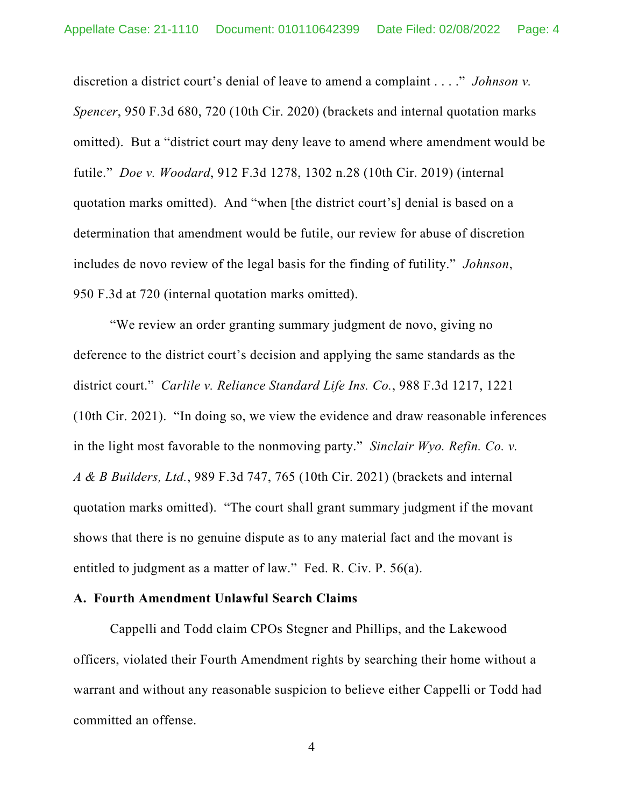discretion a district court's denial of leave to amend a complaint . . . ." *Johnson v. Spencer*, 950 F.3d 680, 720 (10th Cir. 2020) (brackets and internal quotation marks omitted). But a "district court may deny leave to amend where amendment would be futile." *Doe v. Woodard*, 912 F.3d 1278, 1302 n.28 (10th Cir. 2019) (internal quotation marks omitted). And "when [the district court's] denial is based on a determination that amendment would be futile, our review for abuse of discretion includes de novo review of the legal basis for the finding of futility." *Johnson*, 950 F.3d at 720 (internal quotation marks omitted).

"We review an order granting summary judgment de novo, giving no deference to the district court's decision and applying the same standards as the district court." *Carlile v. Reliance Standard Life Ins. Co.*, 988 F.3d 1217, 1221 (10th Cir. 2021). "In doing so, we view the evidence and draw reasonable inferences in the light most favorable to the nonmoving party." *Sinclair Wyo. Refin. Co. v. A & B Builders, Ltd.*, 989 F.3d 747, 765 (10th Cir. 2021) (brackets and internal quotation marks omitted). "The court shall grant summary judgment if the movant shows that there is no genuine dispute as to any material fact and the movant is entitled to judgment as a matter of law." Fed. R. Civ. P. 56(a).

### **A. Fourth Amendment Unlawful Search Claims**

Cappelli and Todd claim CPOs Stegner and Phillips, and the Lakewood officers, violated their Fourth Amendment rights by searching their home without a warrant and without any reasonable suspicion to believe either Cappelli or Todd had committed an offense.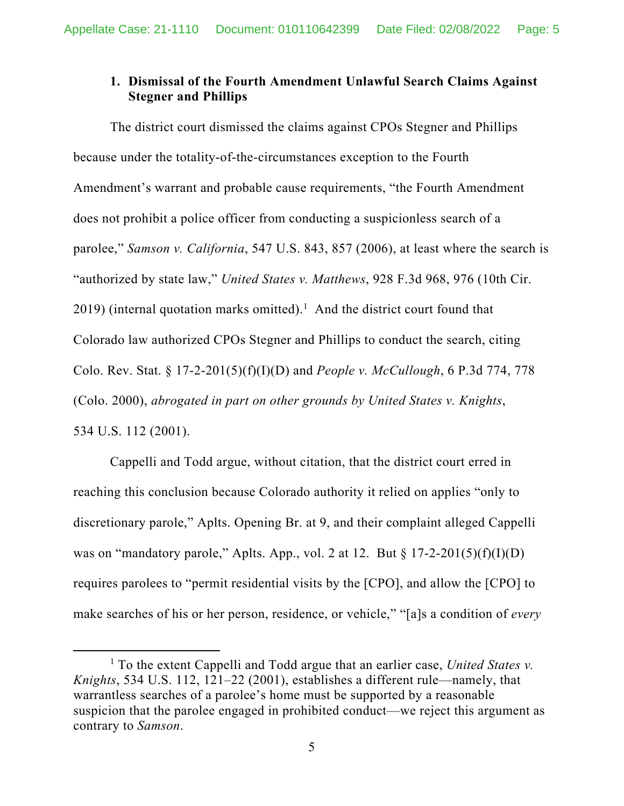# **1. Dismissal of the Fourth Amendment Unlawful Search Claims Against Stegner and Phillips**

 The district court dismissed the claims against CPOs Stegner and Phillips because under the totality-of-the-circumstances exception to the Fourth Amendment's warrant and probable cause requirements, "the Fourth Amendment does not prohibit a police officer from conducting a suspicionless search of a parolee," *Samson v. California*, 547 U.S. 843, 857 (2006), at least where the search is "authorized by state law," *United States v. Matthews*, 928 F.3d 968, 976 (10th Cir.  $2019$ ) (internal quotation marks omitted).<sup>1</sup> And the district court found that Colorado law authorized CPOs Stegner and Phillips to conduct the search, citing Colo. Rev. Stat. § 17-2-201(5)(f)(I)(D) and *People v. McCullough*, 6 P.3d 774, 778 (Colo. 2000), *abrogated in part on other grounds by United States v. Knights*, 534 U.S. 112 (2001).

Cappelli and Todd argue, without citation, that the district court erred in reaching this conclusion because Colorado authority it relied on applies "only to discretionary parole," Aplts. Opening Br. at 9, and their complaint alleged Cappelli was on "mandatory parole," Aplts. App., vol. 2 at 12. But  $\S 17$ -2-201(5)(f)(I)(D) requires parolees to "permit residential visits by the [CPO], and allow the [CPO] to make searches of his or her person, residence, or vehicle," "[a]s a condition of *every*

<sup>&</sup>lt;sup>1</sup> To the extent Cappelli and Todd argue that an earlier case, *United States v*. *Knights*, 534 U.S. 112, 121–22 (2001), establishes a different rule—namely, that warrantless searches of a parolee's home must be supported by a reasonable suspicion that the parolee engaged in prohibited conduct—we reject this argument as contrary to *Samson*.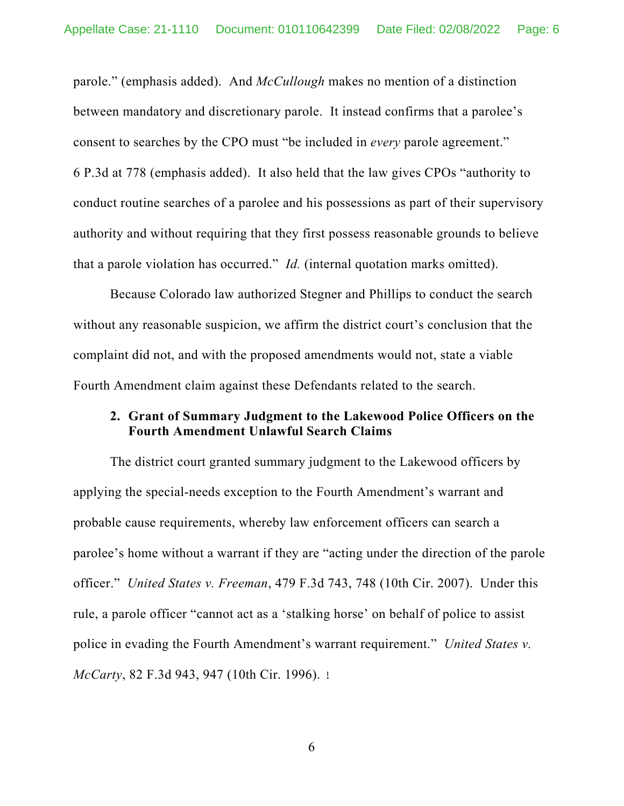parole." (emphasis added). And *McCullough* makes no mention of a distinction between mandatory and discretionary parole. It instead confirms that a parolee's consent to searches by the CPO must "be included in *every* parole agreement." 6 P.3d at 778 (emphasis added). It also held that the law gives CPOs "authority to conduct routine searches of a parolee and his possessions as part of their supervisory authority and without requiring that they first possess reasonable grounds to believe that a parole violation has occurred." *Id.* (internal quotation marks omitted).

 Because Colorado law authorized Stegner and Phillips to conduct the search without any reasonable suspicion, we affirm the district court's conclusion that the complaint did not, and with the proposed amendments would not, state a viable Fourth Amendment claim against these Defendants related to the search.

# **2. Grant of Summary Judgment to the Lakewood Police Officers on the Fourth Amendment Unlawful Search Claims**

The district court granted summary judgment to the Lakewood officers by applying the special-needs exception to the Fourth Amendment's warrant and probable cause requirements, whereby law enforcement officers can search a parolee's home without a warrant if they are "acting under the direction of the parole officer." *United States v. Freeman*, 479 F.3d 743, 748 (10th Cir. 2007). Under this rule, a parole officer "cannot act as a 'stalking horse' on behalf of police to assist police in evading the Fourth Amendment's warrant requirement." *United States v. McCarty*, 82 F.3d 943, 947 (10th Cir. 1996).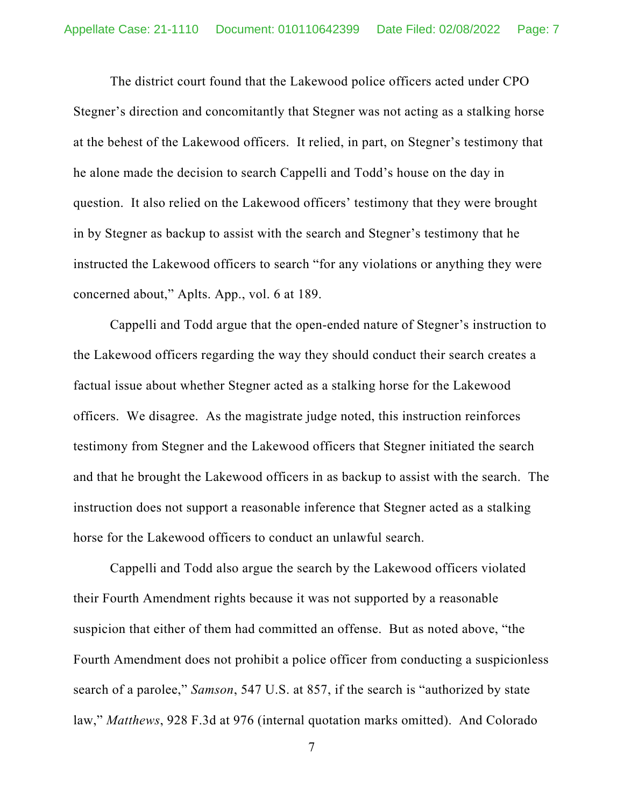The district court found that the Lakewood police officers acted under CPO Stegner's direction and concomitantly that Stegner was not acting as a stalking horse at the behest of the Lakewood officers. It relied, in part, on Stegner's testimony that he alone made the decision to search Cappelli and Todd's house on the day in question. It also relied on the Lakewood officers' testimony that they were brought in by Stegner as backup to assist with the search and Stegner's testimony that he instructed the Lakewood officers to search "for any violations or anything they were concerned about," Aplts. App., vol. 6 at 189.

 Cappelli and Todd argue that the open-ended nature of Stegner's instruction to the Lakewood officers regarding the way they should conduct their search creates a factual issue about whether Stegner acted as a stalking horse for the Lakewood officers. We disagree. As the magistrate judge noted, this instruction reinforces testimony from Stegner and the Lakewood officers that Stegner initiated the search and that he brought the Lakewood officers in as backup to assist with the search. The instruction does not support a reasonable inference that Stegner acted as a stalking horse for the Lakewood officers to conduct an unlawful search.

 Cappelli and Todd also argue the search by the Lakewood officers violated their Fourth Amendment rights because it was not supported by a reasonable suspicion that either of them had committed an offense. But as noted above, "the Fourth Amendment does not prohibit a police officer from conducting a suspicionless search of a parolee," *Samson*, 547 U.S. at 857, if the search is "authorized by state law," *Matthews*, 928 F.3d at 976 (internal quotation marks omitted). And Colorado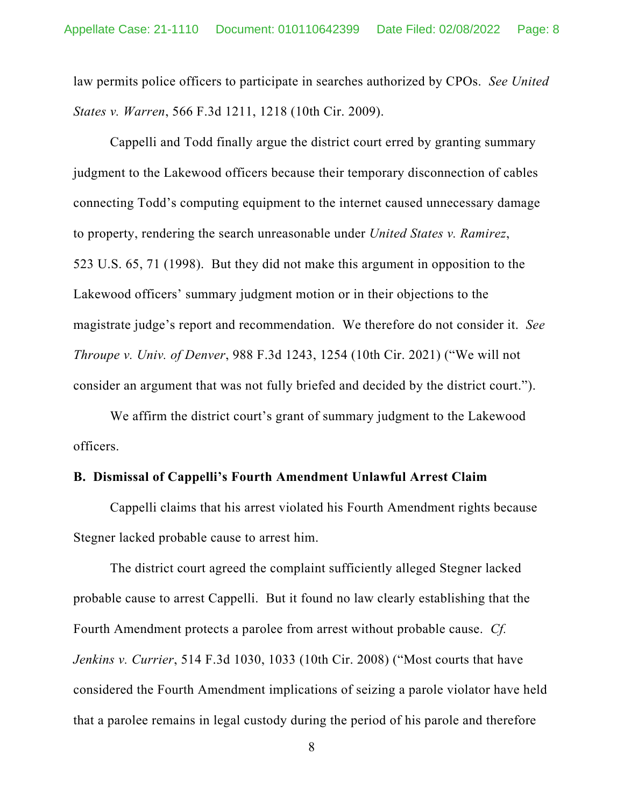law permits police officers to participate in searches authorized by CPOs. *See United States v. Warren*, 566 F.3d 1211, 1218 (10th Cir. 2009).

 Cappelli and Todd finally argue the district court erred by granting summary judgment to the Lakewood officers because their temporary disconnection of cables connecting Todd's computing equipment to the internet caused unnecessary damage to property, rendering the search unreasonable under *United States v. Ramirez*, 523 U.S. 65, 71 (1998). But they did not make this argument in opposition to the Lakewood officers' summary judgment motion or in their objections to the magistrate judge's report and recommendation. We therefore do not consider it. *See Throupe v. Univ. of Denver*, 988 F.3d 1243, 1254 (10th Cir. 2021) ("We will not consider an argument that was not fully briefed and decided by the district court.").

 We affirm the district court's grant of summary judgment to the Lakewood officers.

### **B. Dismissal of Cappelli's Fourth Amendment Unlawful Arrest Claim**

 Cappelli claims that his arrest violated his Fourth Amendment rights because Stegner lacked probable cause to arrest him.

 The district court agreed the complaint sufficiently alleged Stegner lacked probable cause to arrest Cappelli. But it found no law clearly establishing that the Fourth Amendment protects a parolee from arrest without probable cause. *Cf. Jenkins v. Currier*, 514 F.3d 1030, 1033 (10th Cir. 2008) ("Most courts that have considered the Fourth Amendment implications of seizing a parole violator have held that a parolee remains in legal custody during the period of his parole and therefore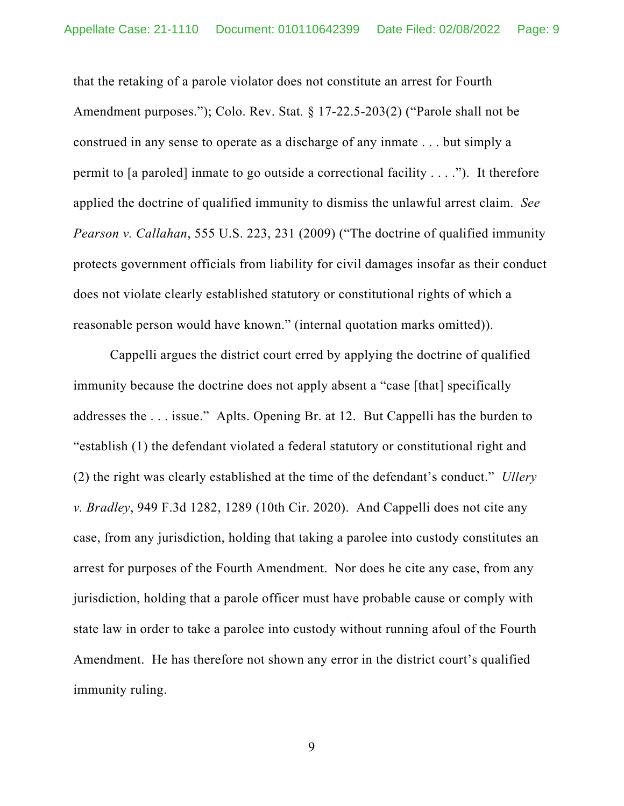that the retaking of a parole violator does not constitute an arrest for Fourth Amendment purposes."); Colo. Rev. Stat*.* § 17-22.5-203(2) ("Parole shall not be construed in any sense to operate as a discharge of any inmate . . . but simply a permit to [a paroled] inmate to go outside a correctional facility . . . ."). It therefore applied the doctrine of qualified immunity to dismiss the unlawful arrest claim. *See Pearson v. Callahan*, 555 U.S. 223, 231 (2009) ("The doctrine of qualified immunity protects government officials from liability for civil damages insofar as their conduct does not violate clearly established statutory or constitutional rights of which a reasonable person would have known." (internal quotation marks omitted)).

 Cappelli argues the district court erred by applying the doctrine of qualified immunity because the doctrine does not apply absent a "case [that] specifically addresses the . . . issue." Aplts. Opening Br. at 12. But Cappelli has the burden to "establish (1) the defendant violated a federal statutory or constitutional right and (2) the right was clearly established at the time of the defendant's conduct." *Ullery v. Bradley*, 949 F.3d 1282, 1289 (10th Cir. 2020). And Cappelli does not cite any case, from any jurisdiction, holding that taking a parolee into custody constitutes an arrest for purposes of the Fourth Amendment. Nor does he cite any case, from any jurisdiction, holding that a parole officer must have probable cause or comply with state law in order to take a parolee into custody without running afoul of the Fourth Amendment. He has therefore not shown any error in the district court's qualified immunity ruling.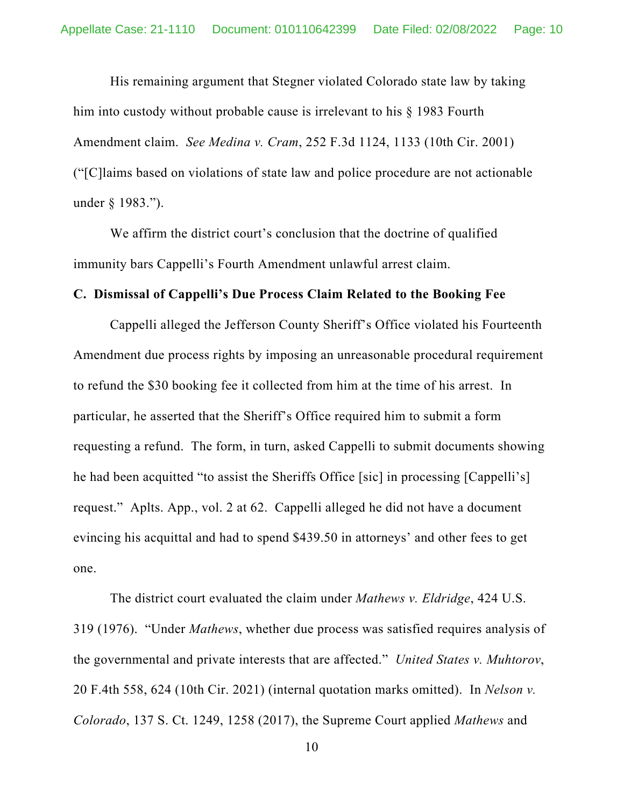His remaining argument that Stegner violated Colorado state law by taking him into custody without probable cause is irrelevant to his § 1983 Fourth Amendment claim. *See Medina v. Cram*, 252 F.3d 1124, 1133 (10th Cir. 2001) ("[C]laims based on violations of state law and police procedure are not actionable under § 1983.").

 We affirm the district court's conclusion that the doctrine of qualified immunity bars Cappelli's Fourth Amendment unlawful arrest claim.

#### **C. Dismissal of Cappelli's Due Process Claim Related to the Booking Fee**

 Cappelli alleged the Jefferson County Sheriff's Office violated his Fourteenth Amendment due process rights by imposing an unreasonable procedural requirement to refund the \$30 booking fee it collected from him at the time of his arrest. In particular, he asserted that the Sheriff's Office required him to submit a form requesting a refund. The form, in turn, asked Cappelli to submit documents showing he had been acquitted "to assist the Sheriffs Office [sic] in processing [Cappelli's] request." Aplts. App., vol. 2 at 62. Cappelli alleged he did not have a document evincing his acquittal and had to spend \$439.50 in attorneys' and other fees to get one.

The district court evaluated the claim under *Mathews v. Eldridge*, 424 U.S. 319 (1976). "Under *Mathews*, whether due process was satisfied requires analysis of the governmental and private interests that are affected." *United States v. Muhtorov*, 20 F.4th 558, 624 (10th Cir. 2021) (internal quotation marks omitted). In *Nelson v. Colorado*, 137 S. Ct. 1249, 1258 (2017), the Supreme Court applied *Mathews* and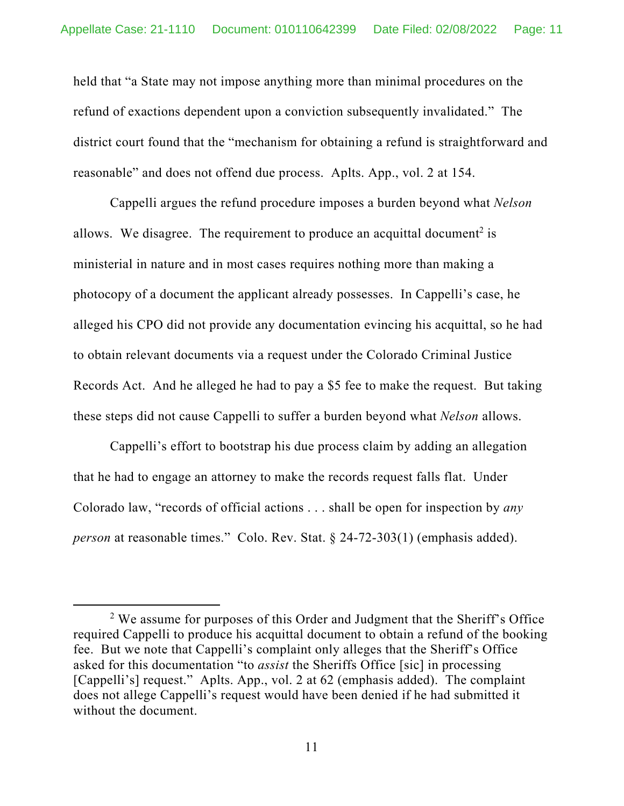held that "a State may not impose anything more than minimal procedures on the refund of exactions dependent upon a conviction subsequently invalidated." The district court found that the "mechanism for obtaining a refund is straightforward and reasonable" and does not offend due process. Aplts. App., vol. 2 at 154.

Cappelli argues the refund procedure imposes a burden beyond what *Nelson* allows. We disagree. The requirement to produce an acquittal document<sup>2</sup> is ministerial in nature and in most cases requires nothing more than making a photocopy of a document the applicant already possesses. In Cappelli's case, he alleged his CPO did not provide any documentation evincing his acquittal, so he had to obtain relevant documents via a request under the Colorado Criminal Justice Records Act. And he alleged he had to pay a \$5 fee to make the request. But taking these steps did not cause Cappelli to suffer a burden beyond what *Nelson* allows.

Cappelli's effort to bootstrap his due process claim by adding an allegation that he had to engage an attorney to make the records request falls flat. Under Colorado law, "records of official actions . . . shall be open for inspection by *any person* at reasonable times." Colo. Rev. Stat. § 24-72-303(1) (emphasis added).

<sup>&</sup>lt;sup>2</sup> We assume for purposes of this Order and Judgment that the Sheriff's Office required Cappelli to produce his acquittal document to obtain a refund of the booking fee. But we note that Cappelli's complaint only alleges that the Sheriff's Office asked for this documentation "to *assist* the Sheriffs Office [sic] in processing [Cappelli's] request." Aplts. App., vol. 2 at 62 (emphasis added). The complaint does not allege Cappelli's request would have been denied if he had submitted it without the document.